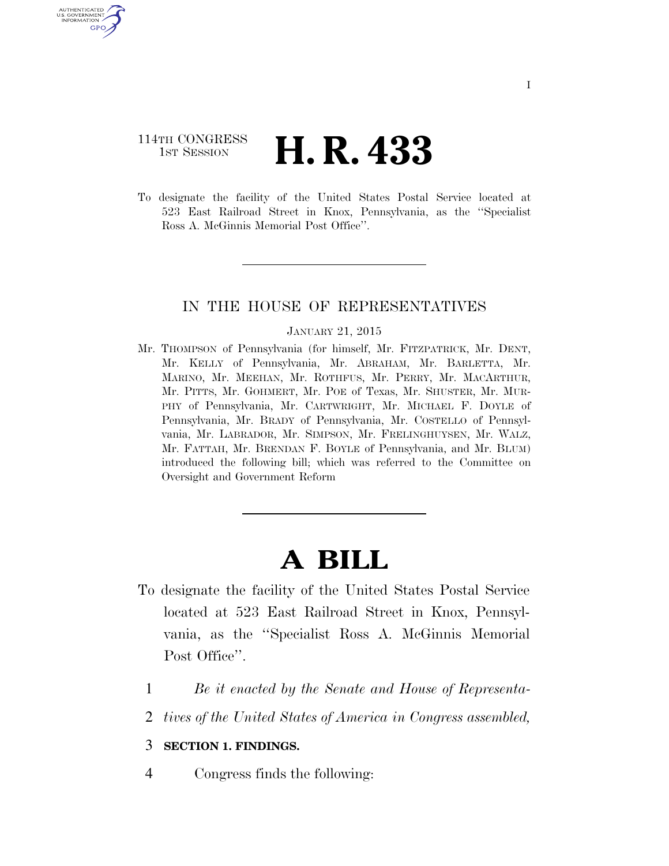### 114TH CONGRESS **1st Session H. R. 433**

U.S. GOVERNMENT GPO

> To designate the facility of the United States Postal Service located at 523 East Railroad Street in Knox, Pennsylvania, as the ''Specialist Ross A. McGinnis Memorial Post Office''.

### IN THE HOUSE OF REPRESENTATIVES

#### JANUARY 21, 2015

Mr. THOMPSON of Pennsylvania (for himself, Mr. FITZPATRICK, Mr. DENT, Mr. KELLY of Pennsylvania, Mr. ABRAHAM, Mr. BARLETTA, Mr. MARINO, Mr. MEEHAN, Mr. ROTHFUS, Mr. PERRY, Mr. MACARTHUR, Mr. PITTS, Mr. GOHMERT, Mr. POE of Texas, Mr. SHUSTER, Mr. MUR-PHY of Pennsylvania, Mr. CARTWRIGHT, Mr. MICHAEL F. DOYLE of Pennsylvania, Mr. BRADY of Pennsylvania, Mr. COSTELLO of Pennsylvania, Mr. LABRADOR, Mr. SIMPSON, Mr. FRELINGHUYSEN, Mr. WALZ, Mr. FATTAH, Mr. BRENDAN F. BOYLE of Pennsylvania, and Mr. BLUM) introduced the following bill; which was referred to the Committee on Oversight and Government Reform

# **A BILL**

- To designate the facility of the United States Postal Service located at 523 East Railroad Street in Knox, Pennsylvania, as the ''Specialist Ross A. McGinnis Memorial Post Office".
	- 1 *Be it enacted by the Senate and House of Representa-*
	- 2 *tives of the United States of America in Congress assembled,*

### 3 **SECTION 1. FINDINGS.**

4 Congress finds the following: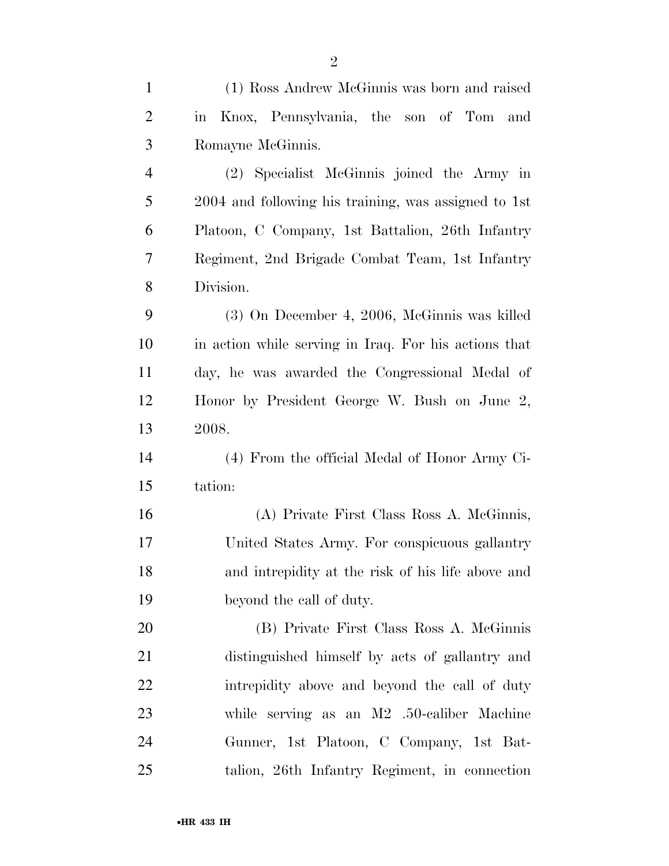| $\mathbf{1}$   | (1) Ross Andrew McGinnis was born and raised          |
|----------------|-------------------------------------------------------|
| $\overline{2}$ | Knox, Pennsylvania, the son of Tom and<br>in          |
| 3              | Romayne McGinnis.                                     |
| $\overline{4}$ | (2) Specialist McGinnis joined the Army in            |
| 5              | 2004 and following his training, was assigned to 1st  |
| 6              | Platoon, C Company, 1st Battalion, 26th Infantry      |
| 7              | Regiment, 2nd Brigade Combat Team, 1st Infantry       |
| 8              | Division.                                             |
| 9              | (3) On December 4, 2006, McGinnis was killed          |
| 10             | in action while serving in Iraq. For his actions that |
| 11             | day, he was awarded the Congressional Medal of        |
| 12             | Honor by President George W. Bush on June 2,          |
| 13             | 2008.                                                 |
| 14             | (4) From the official Medal of Honor Army Ci-         |
| 15             | tation:                                               |
| 16             | (A) Private First Class Ross A. McGinnis,             |
| 17             | United States Army. For conspicuous gallantry         |
| 18             | and intrepidity at the risk of his life above and     |
| 19             | beyond the call of duty.                              |
| 20             | (B) Private First Class Ross A. McGinnis              |
| 21             | distinguished himself by acts of gallantry and        |
| <u>22</u>      | intrepidity above and beyond the call of duty         |
| 23             | while serving as an $M2$ .50-caliber Machine          |
| 24             | Gunner, 1st Platoon, C Company, 1st Bat-              |
| 25             | talion, 26th Infantry Regiment, in connection         |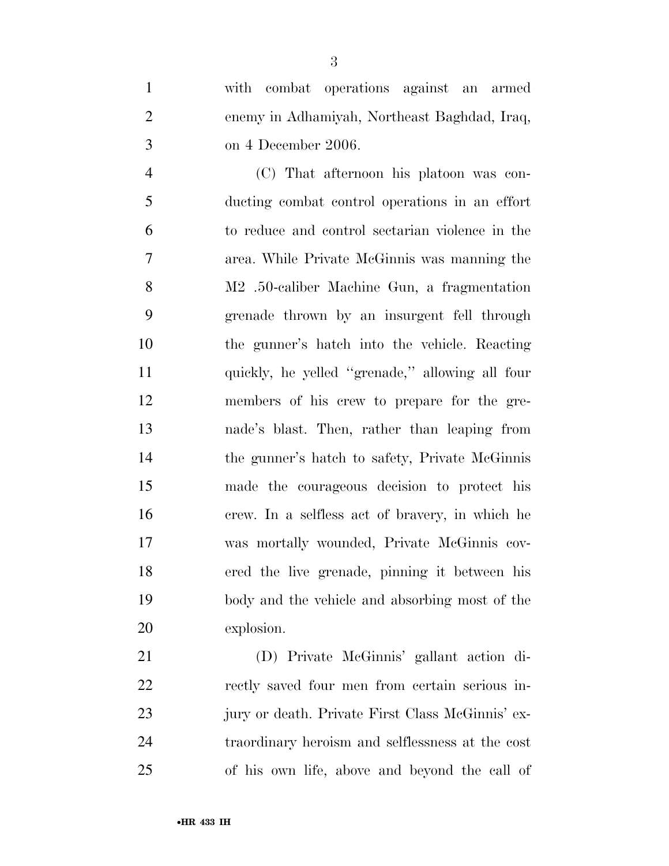with combat operations against an armed enemy in Adhamiyah, Northeast Baghdad, Iraq, on 4 December 2006.

 (C) That afternoon his platoon was con- ducting combat control operations in an effort to reduce and control sectarian violence in the area. While Private McGinnis was manning the M2 .50-caliber Machine Gun, a fragmentation grenade thrown by an insurgent fell through the gunner's hatch into the vehicle. Reacting quickly, he yelled ''grenade,'' allowing all four members of his crew to prepare for the gre- nade's blast. Then, rather than leaping from the gunner's hatch to safety, Private McGinnis made the courageous decision to protect his crew. In a selfless act of bravery, in which he was mortally wounded, Private McGinnis cov- ered the live grenade, pinning it between his body and the vehicle and absorbing most of the explosion.

 (D) Private McGinnis' gallant action di- rectly saved four men from certain serious in- jury or death. Private First Class McGinnis' ex- traordinary heroism and selflessness at the cost of his own life, above and beyond the call of